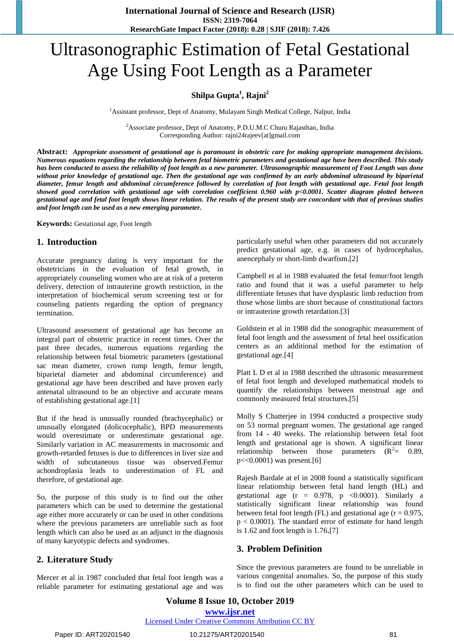# Ultrasonographic Estimation of Fetal Gestational Age Using Foot Length as a Parameter

## **Shilpa Gupta<sup>1</sup> , Rajni<sup>2</sup>**

<sup>1</sup> Assistant professor, Dept of Anatomy, Mulayam Singh Medical College, Nalpur, India

<sup>2</sup>Associate professor, Dept of Anatomy, P.D.U.M.C Churu Rajasthan, India Corresponding Author: rajni24rajeev[at]gmail.com

**Abstract:** *Appropriate assessment of gestational age is paramount in obstetric care for making appropriate management decisions. Numerous equations regarding the relationship between fetal biometric parameters and gestational age have been described. This study has been conducted to assess the reliability of foot length as a new parameter. Ultrasonographic measurement of Foot Length was done without prior knowledge of gestational age. Then the gestational age was confirmed by an early abdominal ultrasound by biparietal diameter, femur length and abdominal circumference followed by correlation of foot length with gestational age. Fetal foot length showed good correlation with gestational age with correlation coefficient 0.960 with p<0.0001. Scatter diagram plotted between gestational age and fetal foot length shows linear relation. The results of the present study are concordant with that of previous studies and foot length can be used as a new emerging parameter.*

**Keywords:** Gestational age, Foot length

#### **1. Introduction**

Accurate pregnancy dating is very important for the obstetricians in the evaluation of fetal growth, in appropriately counseling women who are at risk of a preterm delivery, detection of intrauterine growth restriction, in the interpretation of biochemical serum screening test or for counseling patients regarding the option of pregnancy termination.

Ultrasound assessment of gestational age has become an integral part of obstetric practice in recent times. Over the past three decades, numerous equations regarding the relationship between fetal biometric parameters (gestational sac mean diameter, crown rump length, femur length, biparietal diameter and abdominal circumference) and gestational age have been described and have proven early antenatal ultrasound to be an objective and accurate means of establishing gestational age.[1]

But if the head is unusually rounded (brachycephalic) or unusually elongated (dolicocephalic), BPD measurements would overestimate or underestimate gestational age. Similarly variation in AC measurements in macrosomic and growth-retarded fetuses is due to differences in liver size and width of subcutaneous tissue was observed.Femur achondroplasia leads to underestimation of FL and therefore, of gestational age.

So, the purpose of this study is to find out the other parameters which can be used to determine the gestational age either more accurately or can be used in other conditions where the previous parameters are unreliable such as foot length which can also be used as an adjunct in the diagnosis of many karyotypic defects and syndromes.

#### **2. Literature Study**

Mercer et al in 1987 concluded that fetal foot length was a reliable parameter for estimating gestational age and was particularly useful when other parameters did not accurately predict gestational age, e.g. in cases of hydrocephalus, anencephaly or short-limb dwarfism.[2]

Campbell et al in 1988 evaluated the fetal femur/foot length ratio and found that it was a useful parameter to help differentiate fetuses that have dysplastic limb reduction from those whose limbs are short because of constitutional factors or intrauterine growth retardation.[3]

Goldstein et al in 1988 did the sonographic measurement of fetal foot length and the assessment of fetal heel ossification centers as an additional method for the estimation of gestational age.[4]

Platt L D et al in 1988 described the ultrasonic measurement of fetal foot length and developed mathematical models to quantify the relationships between menstrual age and commonly measured fetal structures.[5]

Molly S Chatterjee in 1994 conducted a prospective study on 53 normal pregnant women. The gestational age ranged from 14 - 40 weeks. The relationship between fetal foot length and gestational age is shown. A significant linear relationship between those parameters  $(R^2=$ = 0.89,  $p\ll0.0001$ ) was present.[6]

Rajesh Bardale at el in 2008 found a statistically significant linear relationship between fetal hand length (HL) and gestational age  $(r = 0.978, p < 0.0001)$ . Similarly a statistically significant linear relationship was found between fetal foot length (FL) and gestational age ( $r = 0.975$ ,  $p < 0.0001$ ). The standard error of estimate for hand length is 1.62 and foot length is 1.76**.**[7]

#### **3. Problem Definition**

Since the previous parameters are found to be unreliable in various congenital anomalies. So, the purpose of this study is to find out the other parameters which can be used to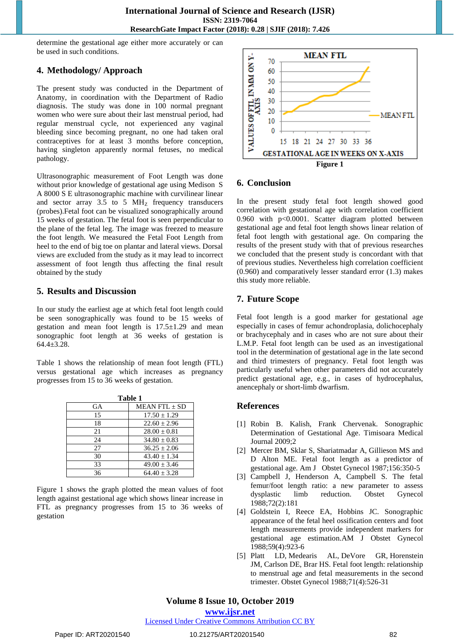determine the gestational age either more accurately or can be used in such conditions.

## **4. Methodology/ Approach**

The present study was conducted in the Department of Anatomy, in coordination with the Department of Radio diagnosis. The study was done in 100 normal pregnant women who were sure about their last menstrual period, had regular menstrual cycle, not experienced any vaginal bleeding since becoming pregnant, no one had taken oral contraceptives for at least 3 months before conception, having singleton apparently normal fetuses, no medical pathology.

Ultrasonographic measurement of Foot Length was done without prior knowledge of gestational age using Medison S A 8000 S E ultrasonographic machine with curvilinear linear and sector array 3.5 to 5 MH<sub>Z</sub> frequency transducers (probes).Fetal foot can be visualized sonographically around 15 weeks of gestation. The fetal foot is seen perpendicular to the plane of the fetal leg. The image was freezed to measure the foot length. We measured the Fetal Foot Length from heel to the end of big toe on plantar and lateral views. Dorsal views are excluded from the study as it may lead to incorrect assessment of foot length thus affecting the final result obtained by the study

## **5. Results and Discussion**

In our study the earliest age at which fetal foot length could be seen sonographically was found to be 15 weeks of gestation and mean foot length is  $17.5\pm1.29$  and mean sonographic foot length at 36 weeks of gestation is 64.4±3.28.

Table 1 shows the relationship of mean foot length (FTL) versus gestational age which increases as pregnancy progresses from 15 to 36 weeks of gestation.

| Table 1   |                      |
|-----------|----------------------|
| <b>GA</b> | <b>MEAN FTL + SD</b> |
| 15        | $17.50 + 1.29$       |
| 18        | $22.60 \pm 2.96$     |
| 21        | $28.00 \pm 0.81$     |
| 24        | $34.80 \pm 0.83$     |
| 27        | $36.25 + 2.06$       |
| 30        | $43.40 \pm 1.34$     |
| 33        | $49.00 \pm 3.46$     |
| 36        | $64.40 + 3.28$       |

Figure 1 shows the graph plotted the mean values of foot length against gestational age which shows linear increase in FTL as pregnancy progresses from 15 to 36 weeks of gestation



## **6. Conclusion**

In the present study fetal foot length showed good correlation with gestational age with correlation coefficient 0.960 with p<0.0001. Scatter diagram plotted between gestational age and fetal foot length shows linear relation of fetal foot length with gestational age. On comparing the results of the present study with that of previous researches we concluded that the present study is concordant with that of previous studies. Nevertheless high correlation coefficient (0.960) and comparatively lesser standard error (1.3) makes this study more reliable.

## **7. Future Scope**

Fetal foot length is a good marker for gestational age especially in cases of femur achondroplasia, dolichocephaly or brachycephaly and in cases who are not sure about their L.M.P. Fetal foot length can be used as an investigational tool in the determination of gestational age in the late second and third trimesters of pregnancy. Fetal foot length was particularly useful when other parameters did not accurately predict gestational age, e.g., in cases of hydrocephalus, anencephaly or short-limb dwarfism.

#### **References**

- [1] Robin B. Kalish, Frank Chervenak. Sonographic Determination of Gestational Age. Timisoara Medical Journal 2009;2
- [2] Mercer BM, Sklar S, Shariatmadar A, Gillieson MS and D Alton ME. Fetal foot length as a predictor of gestational age. Am J Obstet Gynecol 1987;156:350-5
- [3] Campbell J, Henderson A, Campbell S. The fetal femur/foot length ratio: a new parameter to assess dysplastic limb reduction. Obstet Gynecol 1988;72(2):181
- [4] Goldstein I, Reece EA, Hobbins JC. Sonographic appearance of the fetal heel ossification centers and foot length measurements provide independent markers for gestational age estimation.AM J Obstet Gynecol 1988;59(4):923-6
- [5] Platt LD, Medearis AL, DeVore GR, Horenstein JM, Carlson DE, Brar HS. Fetal foot length: relationship to menstrual age and fetal measurements in the second trimester. Obstet Gynecol 1988;71(4):526-31

# **Volume 8 Issue 10, October 2019**

**www.ijsr.net**

Licensed Under Creative Commons Attribution CC BY